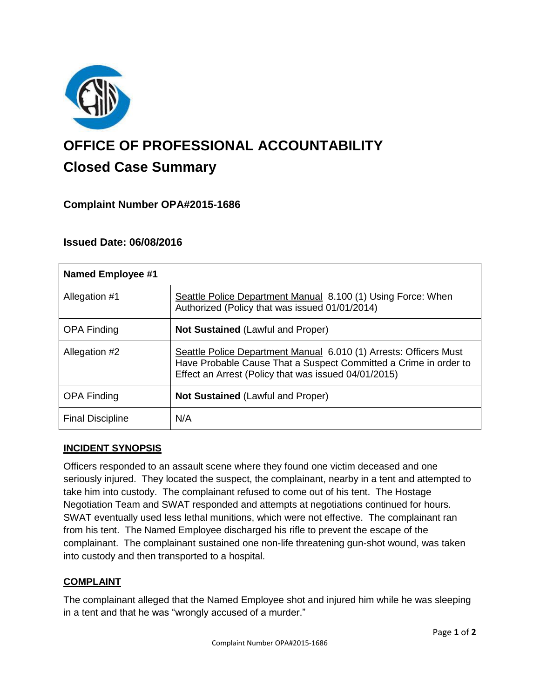

# **OFFICE OF PROFESSIONAL ACCOUNTABILITY Closed Case Summary**

## **Complaint Number OPA#2015-1686**

## **Issued Date: 06/08/2016**

| <b>Named Employee #1</b> |                                                                                                                                                                                               |
|--------------------------|-----------------------------------------------------------------------------------------------------------------------------------------------------------------------------------------------|
| Allegation #1            | Seattle Police Department Manual 8.100 (1) Using Force: When<br>Authorized (Policy that was issued 01/01/2014)                                                                                |
| <b>OPA Finding</b>       | <b>Not Sustained (Lawful and Proper)</b>                                                                                                                                                      |
| Allegation #2            | Seattle Police Department Manual 6.010 (1) Arrests: Officers Must<br>Have Probable Cause That a Suspect Committed a Crime in order to<br>Effect an Arrest (Policy that was issued 04/01/2015) |
| <b>OPA Finding</b>       | <b>Not Sustained (Lawful and Proper)</b>                                                                                                                                                      |
| <b>Final Discipline</b>  | N/A                                                                                                                                                                                           |

### **INCIDENT SYNOPSIS**

Officers responded to an assault scene where they found one victim deceased and one seriously injured. They located the suspect, the complainant, nearby in a tent and attempted to take him into custody. The complainant refused to come out of his tent. The Hostage Negotiation Team and SWAT responded and attempts at negotiations continued for hours. SWAT eventually used less lethal munitions, which were not effective. The complainant ran from his tent. The Named Employee discharged his rifle to prevent the escape of the complainant. The complainant sustained one non-life threatening gun-shot wound, was taken into custody and then transported to a hospital.

## **COMPLAINT**

The complainant alleged that the Named Employee shot and injured him while he was sleeping in a tent and that he was "wrongly accused of a murder."